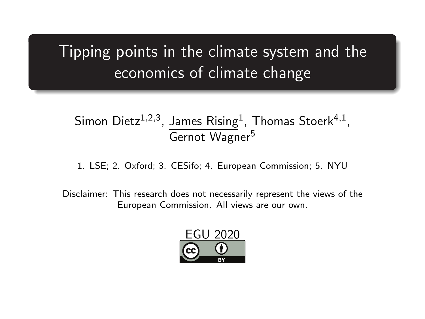### Tipping points in the climate system and the economics of climate change

#### Simon Dietz $1,2,3$ , James Rising $1$ , Thomas Stoerk $4,1$ , Gernot Wagner<sup>5</sup>

1. LSE; 2. Oxford; 3. CESifo; 4. European Commission; 5. NYU

Disclaimer: This research does not necessarily represent the views of the European Commission. All views are our own.

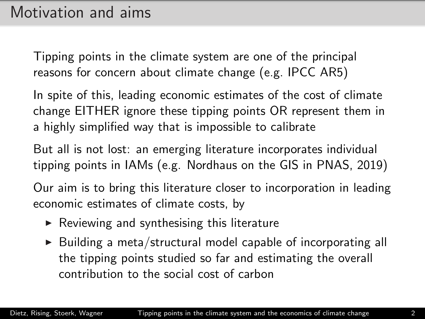Tipping points in the climate system are one of the principal reasons for concern about climate change (e.g. IPCC AR5)

In spite of this, leading economic estimates of the cost of climate change EITHER ignore these tipping points OR represent them in a highly simplified way that is impossible to calibrate

But all is not lost: an emerging literature incorporates individual tipping points in IAMs (e.g. Nordhaus on the GIS in PNAS, 2019)

Our aim is to bring this literature closer to incorporation in leading economic estimates of climate costs, by

- $\triangleright$  Reviewing and synthesising this literature
- $\triangleright$  Building a meta/structural model capable of incorporating all the tipping points studied so far and estimating the overall contribution to the social cost of carbon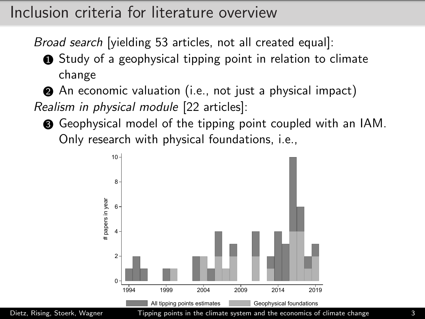### Inclusion criteria for literature overview

Broad search [yielding 53 articles, not all created equal]:

**1** Study of a geophysical tipping point in relation to climate change

2 An economic valuation (i.e., not just a physical impact) Realism in physical module [22 articles]:

**3** Geophysical model of the tipping point coupled with an IAM. Only research with physical foundations, i.e.,



Dietz, Rising, Stoerk, Wagner Tipping points in the climate system and the economics of climate change 33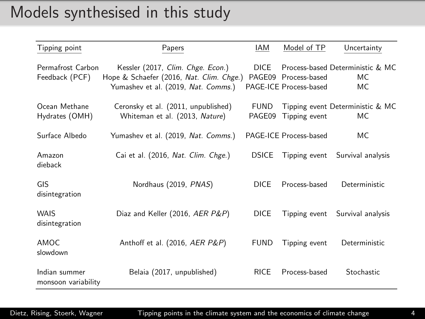### Models synthesised in this study

| Tipping point                        | Papers                                                                                                               | IAM                   | Model of TP                                    | Uncertainty                                    |
|--------------------------------------|----------------------------------------------------------------------------------------------------------------------|-----------------------|------------------------------------------------|------------------------------------------------|
| Permafrost Carbon<br>Feedback (PCF)  | Kessler (2017, Clim. Chge. Econ.)<br>Hope & Schaefer (2016, Nat. Clim. Chge.)<br>Yumashev et al. (2019, Nat. Comms.) | <b>DICE</b>           | PAGE09 Process-based<br>PAGE-ICE Process-based | Process-based Deterministic & MC<br>MC.<br>MC. |
| Ocean Methane<br>Hydrates (OMH)      | Ceronsky et al. (2011, unpublished)<br>Whiteman et al. (2013, Nature)                                                | <b>FUND</b><br>PAGE09 | Tipping event                                  | Tipping event Deterministic & MC<br>МC         |
| Surface Albedo                       | Yumashev et al. (2019, Nat. Comms.)                                                                                  |                       | PAGE-ICE Process-based                         | МC                                             |
| Amazon<br>dieback                    | Cai et al. (2016, Nat. Clim. Chge.)                                                                                  | <b>DSICE</b>          | Tipping event                                  | Survival analysis                              |
| GIS<br>disintegration                | Nordhaus (2019, PNAS)                                                                                                | <b>DICE</b>           | Process-based                                  | Deterministic                                  |
| <b>WAIS</b><br>disintegration        | Diaz and Keller (2016, AER P&P)                                                                                      | <b>DICE</b>           | Tipping event                                  | Survival analysis                              |
| AMOC.<br>slowdown                    | Anthoff et al. (2016, AER P&P)                                                                                       | <b>FUND</b>           | Tipping event                                  | Deterministic                                  |
| Indian summer<br>monsoon variability | Belaia (2017, unpublished)                                                                                           | <b>RICE</b>           | Process-based                                  | Stochastic                                     |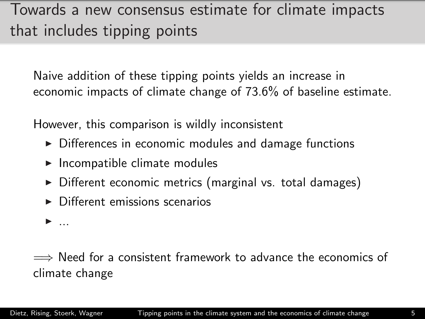## Towards a new consensus estimate for climate impacts that includes tipping points

Naive addition of these tipping points yields an increase in economic impacts of climate change of 73.6% of baseline estimate.

However, this comparison is wildly inconsistent

- $\triangleright$  Differences in economic modules and damage functions
- $\blacktriangleright$  Incompatible climate modules
- $\triangleright$  Different economic metrics (marginal vs. total damages)
- $\triangleright$  Different emissions scenarios

 $\blacktriangleright$  ...

 $\implies$  Need for a consistent framework to advance the economics of climate change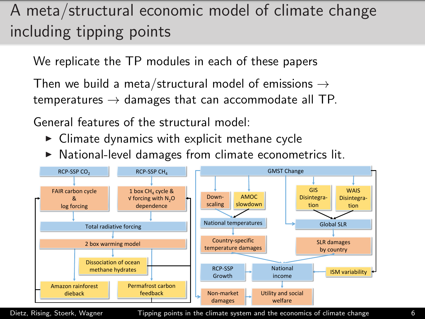# A meta/structural economic model of climate change including tipping points

We replicate the TP modules in each of these papers

Then we build a meta/structural model of emissions  $\rightarrow$ temperatures  $\rightarrow$  damages that can accommodate all TP.

General features of the structural model:

- $\triangleright$  Climate dynamics with explicit methane cycle
- $\triangleright$  National-level damages from climate econometrics lit.



Dietz, Rising, Stoerk, Wagner Tipping points in the climate system and the economics of climate change 6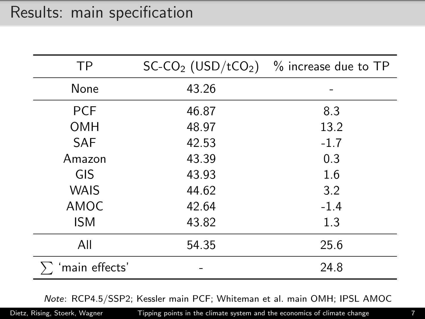### Results: main specification

| <b>TP</b>     |       | $SC-CO2 (USD/tCO2)$ % increase due to TP |
|---------------|-------|------------------------------------------|
| None          | 43.26 |                                          |
| <b>PCF</b>    | 46.87 | 8.3                                      |
| <b>OMH</b>    | 48.97 | 13.2                                     |
| <b>SAF</b>    | 42.53 | $-1.7$                                   |
| Amazon        | 43.39 | 0.3                                      |
| GIS           | 43.93 | 1.6                                      |
| <b>WAIS</b>   | 44.62 | 3.2                                      |
| AMOC          | 42.64 | $-1.4$                                   |
| <b>ISM</b>    | 43.82 | 1.3                                      |
| All           | 54.35 | 25.6                                     |
| main effects' |       | 24.8                                     |

Note: RCP4.5/SSP2; Kessler main PCF; Whiteman et al. main OMH; IPSL AMOC

Dietz, Rising, Stoerk, Wagner Tipping points in the climate system and the economics of climate change 7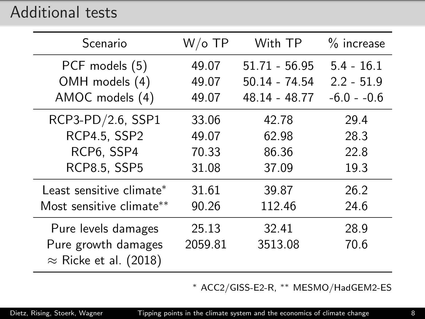#### Additional tests

| Scenario                                             | $W$ /o TP | With TP         | $%$ increase  |
|------------------------------------------------------|-----------|-----------------|---------------|
| PCF models (5)                                       | 49.07     | $51.71 - 56.95$ | $5.4 - 16.1$  |
| OMH models (4)                                       | 49.07     | 50.14 - 74.54   | $2.2 - 51.9$  |
| AMOC models (4)                                      | 49.07     | 48.14 - 48.77   | $-6.0 - -0.6$ |
| RCP3-PD/2.6, SSP1                                    | 33.06     | 42.78           | 29.4          |
| <b>RCP4.5, SSP2</b>                                  | 49.07     | 62.98           | 28.3          |
| RCP6, SSP4                                           | 70.33     | 86.36           | 22.8          |
| <b>RCP8.5, SSP5</b>                                  | 31.08     | 37.09           | 19.3          |
| Least sensitive climate*                             | 31.61     | 39.87           | 26.2          |
| Most sensitive climate**                             | 90.26     | 112.46          | 24.6          |
| Pure levels damages                                  | 25.13     | 32.41           | 28.9          |
| Pure growth damages<br>$\approx$ Ricke et al. (2018) | 2059.81   | 3513.08         | 70.6          |

<sup>∗</sup> ACC2/GISS-E2-R, ∗∗ MESMO/HadGEM2-ES